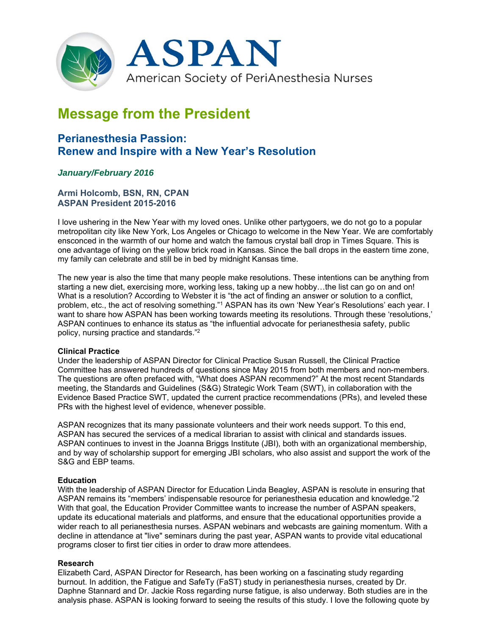

# **Message from the President**

## **Perianesthesia Passion: Renew and Inspire with a New Year's Resolution**

### *January/February 2016*

**Armi Holcomb, BSN, RN, CPAN ASPAN President 2015-2016** 

I love ushering in the New Year with my loved ones. Unlike other partygoers, we do not go to a popular metropolitan city like New York, Los Angeles or Chicago to welcome in the New Year. We are comfortably ensconced in the warmth of our home and watch the famous crystal ball drop in Times Square. This is one advantage of living on the yellow brick road in Kansas. Since the ball drops in the eastern time zone, my family can celebrate and still be in bed by midnight Kansas time.

The new year is also the time that many people make resolutions. These intentions can be anything from starting a new diet, exercising more, working less, taking up a new hobby…the list can go on and on! What is a resolution? According to Webster it is "the act of finding an answer or solution to a conflict, problem, etc., the act of resolving something."1 ASPAN has its own 'New Year's Resolutions' each year. I want to share how ASPAN has been working towards meeting its resolutions. Through these 'resolutions,' ASPAN continues to enhance its status as "the influential advocate for perianesthesia safety, public policy, nursing practice and standards."2

#### **Clinical Practice**

Under the leadership of ASPAN Director for Clinical Practice Susan Russell, the Clinical Practice Committee has answered hundreds of questions since May 2015 from both members and non-members. The questions are often prefaced with, "What does ASPAN recommend?" At the most recent Standards meeting, the Standards and Guidelines (S&G) Strategic Work Team (SWT), in collaboration with the Evidence Based Practice SWT, updated the current practice recommendations (PRs), and leveled these PRs with the highest level of evidence, whenever possible.

ASPAN recognizes that its many passionate volunteers and their work needs support. To this end, ASPAN has secured the services of a medical librarian to assist with clinical and standards issues. ASPAN continues to invest in the Joanna Briggs Institute (JBI), both with an organizational membership, and by way of scholarship support for emerging JBI scholars, who also assist and support the work of the S&G and EBP teams.

#### **Education**

With the leadership of ASPAN Director for Education Linda Beagley, ASPAN is resolute in ensuring that ASPAN remains its "members' indispensable resource for perianesthesia education and knowledge."2 With that goal, the Education Provider Committee wants to increase the number of ASPAN speakers, update its educational materials and platforms, and ensure that the educational opportunities provide a wider reach to all perianesthesia nurses. ASPAN webinars and webcasts are gaining momentum. With a decline in attendance at "live" seminars during the past year, ASPAN wants to provide vital educational programs closer to first tier cities in order to draw more attendees.

#### **Research**

Elizabeth Card, ASPAN Director for Research, has been working on a fascinating study regarding burnout. In addition, the Fatigue and SafeTy (FaST) study in perianesthesia nurses, created by Dr. Daphne Stannard and Dr. Jackie Ross regarding nurse fatigue, is also underway. Both studies are in the analysis phase. ASPAN is looking forward to seeing the results of this study. I love the following quote by